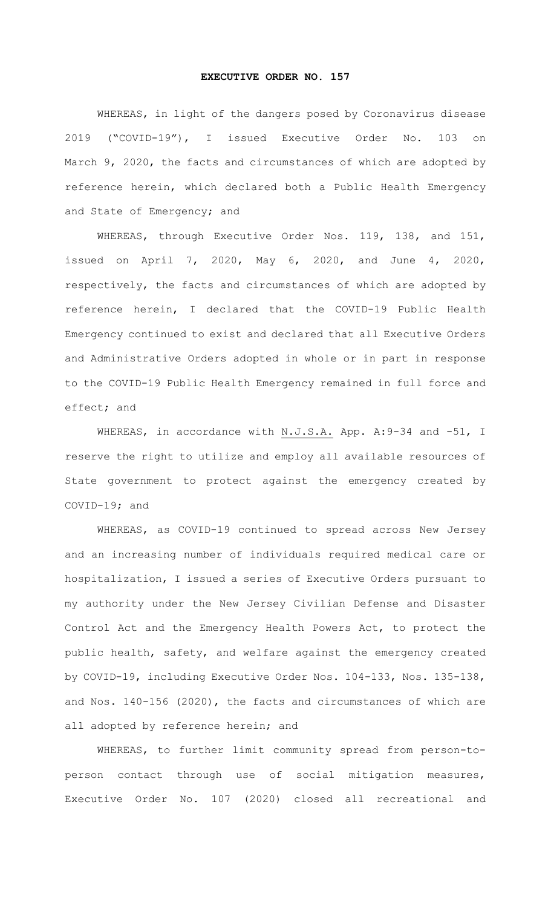## **EXECUTIVE ORDER NO. 157**

WHEREAS, in light of the dangers posed by Coronavirus disease 2019 ("COVID-19"), I issued Executive Order No. 103 on March 9, 2020, the facts and circumstances of which are adopted by reference herein, which declared both a Public Health Emergency and State of Emergency; and

WHEREAS, through Executive Order Nos. 119, 138, and 151, issued on April 7, 2020, May 6, 2020, and June 4, 2020, respectively, the facts and circumstances of which are adopted by reference herein, I declared that the COVID-19 Public Health Emergency continued to exist and declared that all Executive Orders and Administrative Orders adopted in whole or in part in response to the COVID-19 Public Health Emergency remained in full force and effect; and

WHEREAS, in accordance with N.J.S.A. App. A: 9-34 and -51, I reserve the right to utilize and employ all available resources of State government to protect against the emergency created by COVID-19; and

WHEREAS, as COVID-19 continued to spread across New Jersey and an increasing number of individuals required medical care or hospitalization, I issued a series of Executive Orders pursuant to my authority under the New Jersey Civilian Defense and Disaster Control Act and the Emergency Health Powers Act, to protect the public health, safety, and welfare against the emergency created by COVID-19, including Executive Order Nos. 104-133, Nos. 135-138, and Nos. 140-156 (2020), the facts and circumstances of which are all adopted by reference herein; and

WHEREAS, to further limit community spread from person-toperson contact through use of social mitigation measures, Executive Order No. 107 (2020) closed all recreational and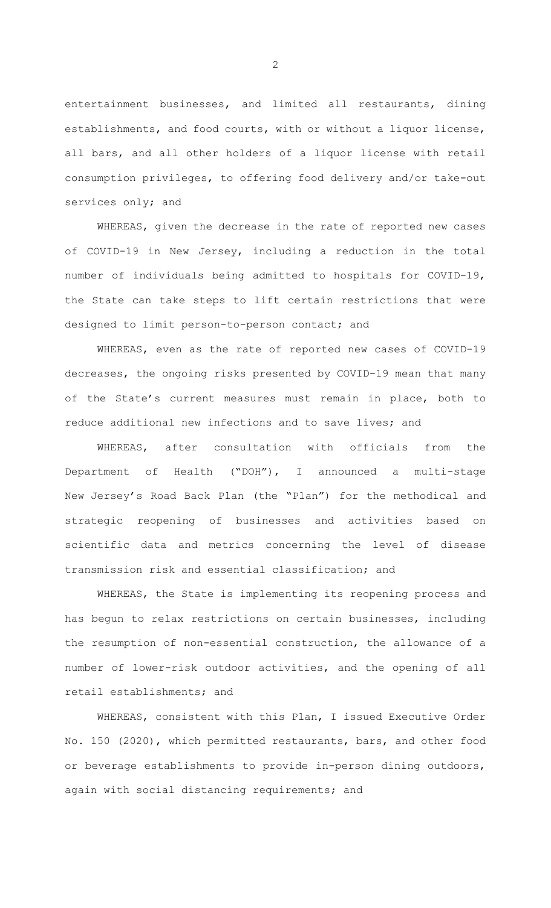entertainment businesses, and limited all restaurants, dining establishments, and food courts, with or without a liquor license, all bars, and all other holders of a liquor license with retail consumption privileges, to offering food delivery and/or take-out services only; and

WHEREAS, given the decrease in the rate of reported new cases of COVID-19 in New Jersey, including a reduction in the total number of individuals being admitted to hospitals for COVID-19, the State can take steps to lift certain restrictions that were designed to limit person-to-person contact; and

WHEREAS, even as the rate of reported new cases of COVID-19 decreases, the ongoing risks presented by COVID-19 mean that many of the State's current measures must remain in place, both to reduce additional new infections and to save lives; and

WHEREAS, after consultation with officials from the Department of Health ("DOH"), I announced a multi-stage New Jersey's Road Back Plan (the "Plan") for the methodical and strategic reopening of businesses and activities based on scientific data and metrics concerning the level of disease transmission risk and essential classification; and

WHEREAS, the State is implementing its reopening process and has begun to relax restrictions on certain businesses, including the resumption of non-essential construction, the allowance of a number of lower-risk outdoor activities, and the opening of all retail establishments; and

WHEREAS, consistent with this Plan, I issued Executive Order No. 150 (2020), which permitted restaurants, bars, and other food or beverage establishments to provide in-person dining outdoors, again with social distancing requirements; and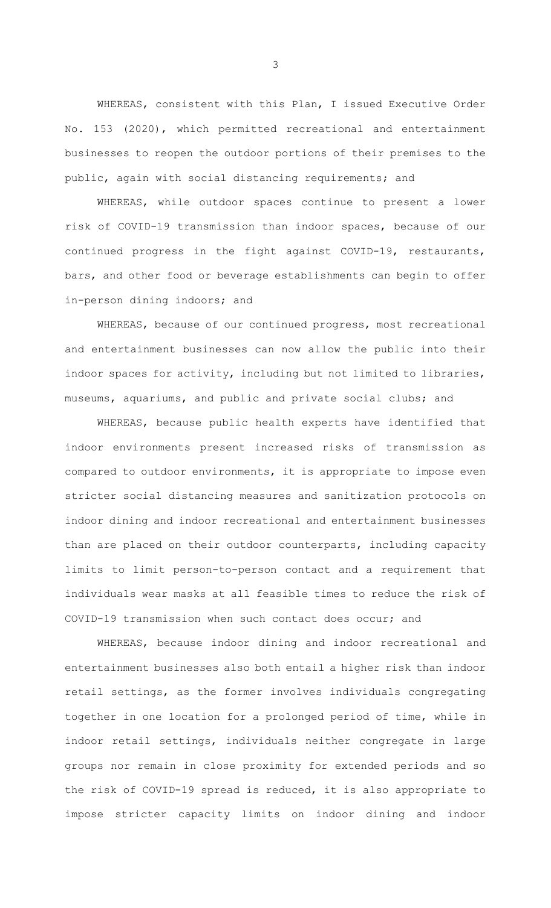WHEREAS, consistent with this Plan, I issued Executive Order No. 153 (2020), which permitted recreational and entertainment businesses to reopen the outdoor portions of their premises to the public, again with social distancing requirements; and

WHEREAS, while outdoor spaces continue to present a lower risk of COVID-19 transmission than indoor spaces, because of our continued progress in the fight against COVID-19, restaurants, bars, and other food or beverage establishments can begin to offer in-person dining indoors; and

WHEREAS, because of our continued progress, most recreational and entertainment businesses can now allow the public into their indoor spaces for activity, including but not limited to libraries, museums, aquariums, and public and private social clubs; and

WHEREAS, because public health experts have identified that indoor environments present increased risks of transmission as compared to outdoor environments, it is appropriate to impose even stricter social distancing measures and sanitization protocols on indoor dining and indoor recreational and entertainment businesses than are placed on their outdoor counterparts, including capacity limits to limit person-to-person contact and a requirement that individuals wear masks at all feasible times to reduce the risk of COVID-19 transmission when such contact does occur; and

WHEREAS, because indoor dining and indoor recreational and entertainment businesses also both entail a higher risk than indoor retail settings, as the former involves individuals congregating together in one location for a prolonged period of time, while in indoor retail settings, individuals neither congregate in large groups nor remain in close proximity for extended periods and so the risk of COVID-19 spread is reduced, it is also appropriate to impose stricter capacity limits on indoor dining and indoor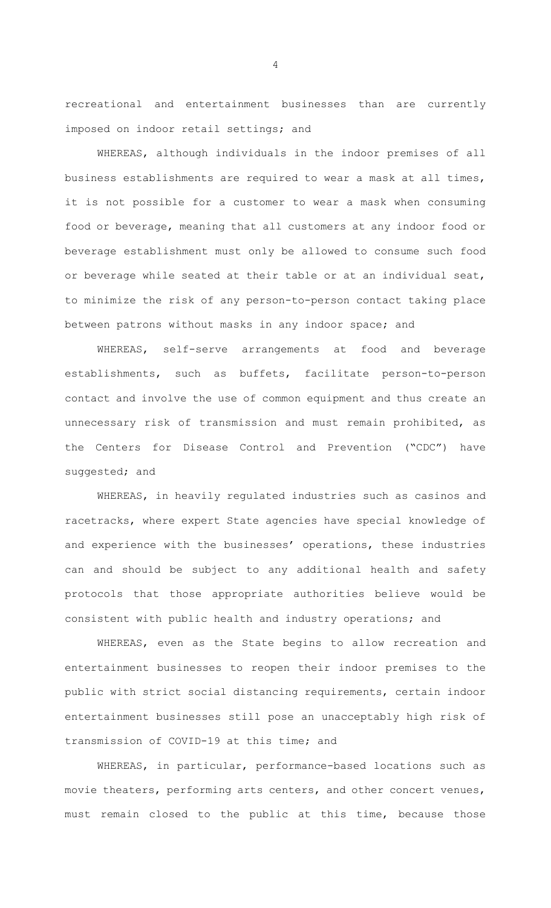recreational and entertainment businesses than are currently imposed on indoor retail settings; and

WHEREAS, although individuals in the indoor premises of all business establishments are required to wear a mask at all times, it is not possible for a customer to wear a mask when consuming food or beverage, meaning that all customers at any indoor food or beverage establishment must only be allowed to consume such food or beverage while seated at their table or at an individual seat, to minimize the risk of any person-to-person contact taking place between patrons without masks in any indoor space; and

WHEREAS, self-serve arrangements at food and beverage establishments, such as buffets, facilitate person-to-person contact and involve the use of common equipment and thus create an unnecessary risk of transmission and must remain prohibited, as the Centers for Disease Control and Prevention ("CDC") have suggested; and

WHEREAS, in heavily regulated industries such as casinos and racetracks, where expert State agencies have special knowledge of and experience with the businesses' operations, these industries can and should be subject to any additional health and safety protocols that those appropriate authorities believe would be consistent with public health and industry operations; and

WHEREAS, even as the State begins to allow recreation and entertainment businesses to reopen their indoor premises to the public with strict social distancing requirements, certain indoor entertainment businesses still pose an unacceptably high risk of transmission of COVID-19 at this time; and

WHEREAS, in particular, performance-based locations such as movie theaters, performing arts centers, and other concert venues, must remain closed to the public at this time, because those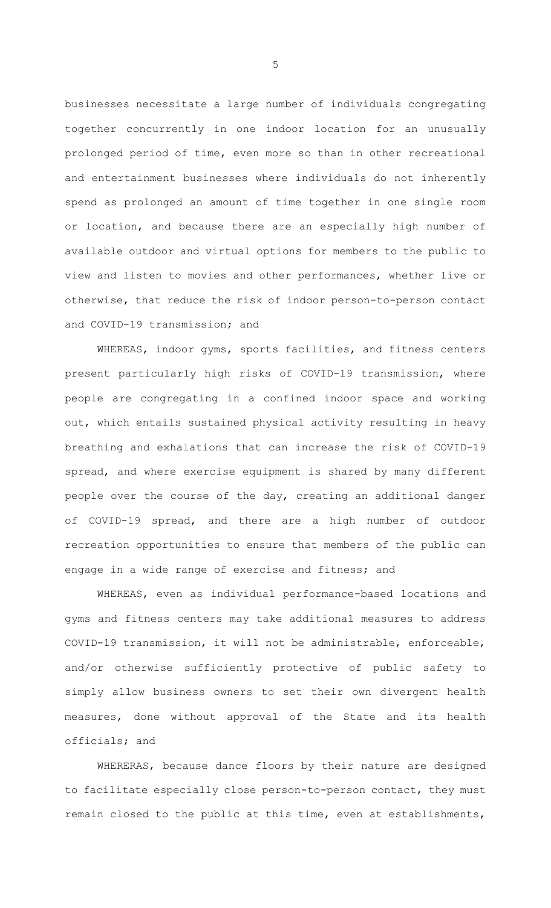businesses necessitate a large number of individuals congregating together concurrently in one indoor location for an unusually prolonged period of time, even more so than in other recreational and entertainment businesses where individuals do not inherently spend as prolonged an amount of time together in one single room or location, and because there are an especially high number of available outdoor and virtual options for members to the public to view and listen to movies and other performances, whether live or otherwise, that reduce the risk of indoor person-to-person contact and COVID-19 transmission; and

WHEREAS, indoor gyms, sports facilities, and fitness centers present particularly high risks of COVID-19 transmission, where people are congregating in a confined indoor space and working out, which entails sustained physical activity resulting in heavy breathing and exhalations that can increase the risk of COVID-19 spread, and where exercise equipment is shared by many different people over the course of the day, creating an additional danger of COVID-19 spread, and there are a high number of outdoor recreation opportunities to ensure that members of the public can engage in a wide range of exercise and fitness; and

WHEREAS, even as individual performance-based locations and gyms and fitness centers may take additional measures to address COVID-19 transmission, it will not be administrable, enforceable, and/or otherwise sufficiently protective of public safety to simply allow business owners to set their own divergent health measures, done without approval of the State and its health officials; and

WHERERAS, because dance floors by their nature are designed to facilitate especially close person-to-person contact, they must remain closed to the public at this time, even at establishments,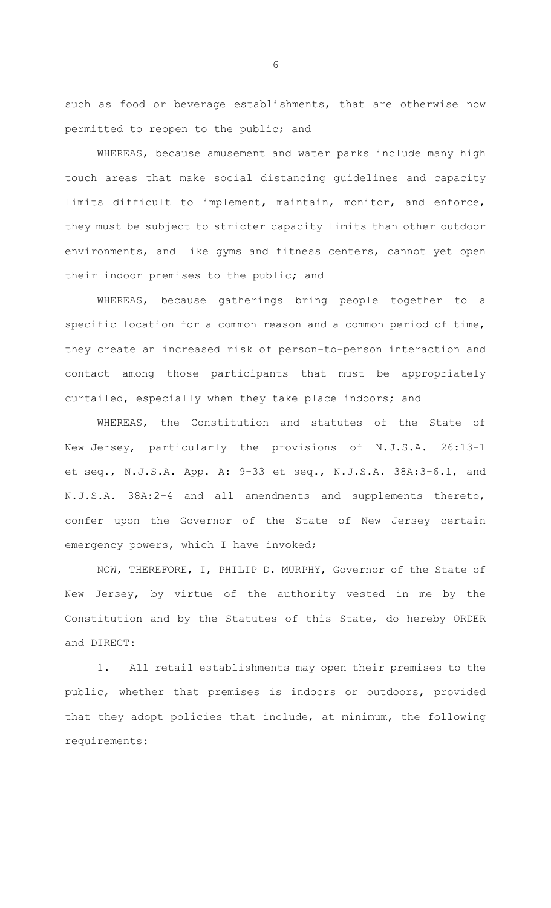such as food or beverage establishments, that are otherwise now permitted to reopen to the public; and

WHEREAS, because amusement and water parks include many high touch areas that make social distancing guidelines and capacity limits difficult to implement, maintain, monitor, and enforce, they must be subject to stricter capacity limits than other outdoor environments, and like gyms and fitness centers, cannot yet open their indoor premises to the public; and

WHEREAS, because gatherings bring people together to a specific location for a common reason and a common period of time, they create an increased risk of person-to-person interaction and contact among those participants that must be appropriately curtailed, especially when they take place indoors; and

WHEREAS, the Constitution and statutes of the State of New Jersey, particularly the provisions of N.J.S.A. 26:13-1 et seq., N.J.S.A. App. A: 9-33 et seq., N.J.S.A. 38A:3-6.1, and N.J.S.A. 38A:2-4 and all amendments and supplements thereto, confer upon the Governor of the State of New Jersey certain emergency powers, which I have invoked;

NOW, THEREFORE, I, PHILIP D. MURPHY, Governor of the State of New Jersey, by virtue of the authority vested in me by the Constitution and by the Statutes of this State, do hereby ORDER and DIRECT:

1. All retail establishments may open their premises to the public, whether that premises is indoors or outdoors, provided that they adopt policies that include, at minimum, the following requirements: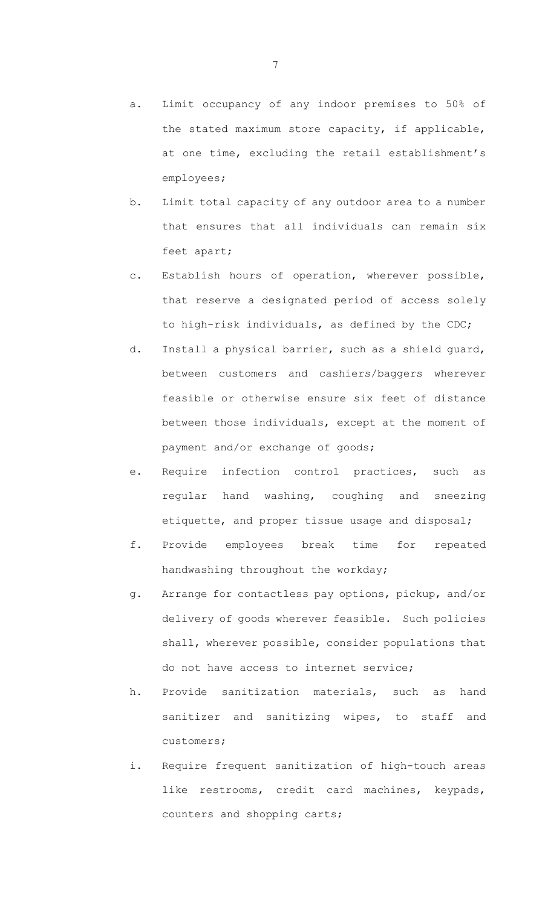- a. Limit occupancy of any indoor premises to 50% of the stated maximum store capacity, if applicable, at one time, excluding the retail establishment's employees;
- b. Limit total capacity of any outdoor area to a number that ensures that all individuals can remain six feet apart;
- c. Establish hours of operation, wherever possible, that reserve a designated period of access solely to high-risk individuals, as defined by the CDC;
- d. Install a physical barrier, such as a shield guard, between customers and cashiers/baggers wherever feasible or otherwise ensure six feet of distance between those individuals, except at the moment of payment and/or exchange of goods;
- e. Require infection control practices, such as regular hand washing, coughing and sneezing etiquette, and proper tissue usage and disposal;
- f. Provide employees break time for repeated handwashing throughout the workday;
- g. Arrange for contactless pay options, pickup, and/or delivery of goods wherever feasible. Such policies shall, wherever possible, consider populations that do not have access to internet service;
- h. Provide sanitization materials, such as hand sanitizer and sanitizing wipes, to staff and customers;
- i. Require frequent sanitization of high-touch areas like restrooms, credit card machines, keypads, counters and shopping carts;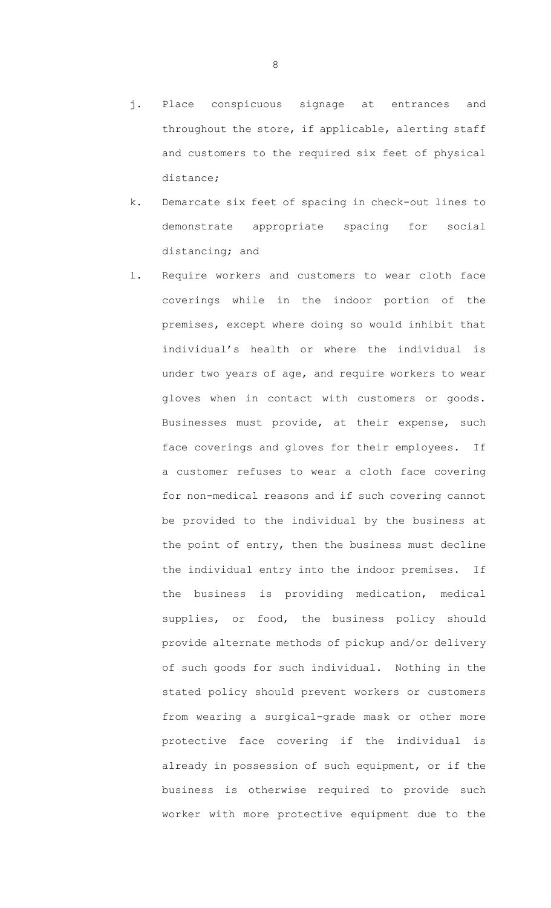- j. Place conspicuous signage at entrances and throughout the store, if applicable, alerting staff and customers to the required six feet of physical distance;
- k. Demarcate six feet of spacing in check-out lines to demonstrate appropriate spacing for social distancing; and
- l. Require workers and customers to wear cloth face coverings while in the indoor portion of the premises, except where doing so would inhibit that individual's health or where the individual is under two years of age, and require workers to wear gloves when in contact with customers or goods. Businesses must provide, at their expense, such face coverings and gloves for their employees. If a customer refuses to wear a cloth face covering for non-medical reasons and if such covering cannot be provided to the individual by the business at the point of entry, then the business must decline the individual entry into the indoor premises. If the business is providing medication, medical supplies, or food, the business policy should provide alternate methods of pickup and/or delivery of such goods for such individual. Nothing in the stated policy should prevent workers or customers from wearing a surgical-grade mask or other more protective face covering if the individual is already in possession of such equipment, or if the business is otherwise required to provide such worker with more protective equipment due to the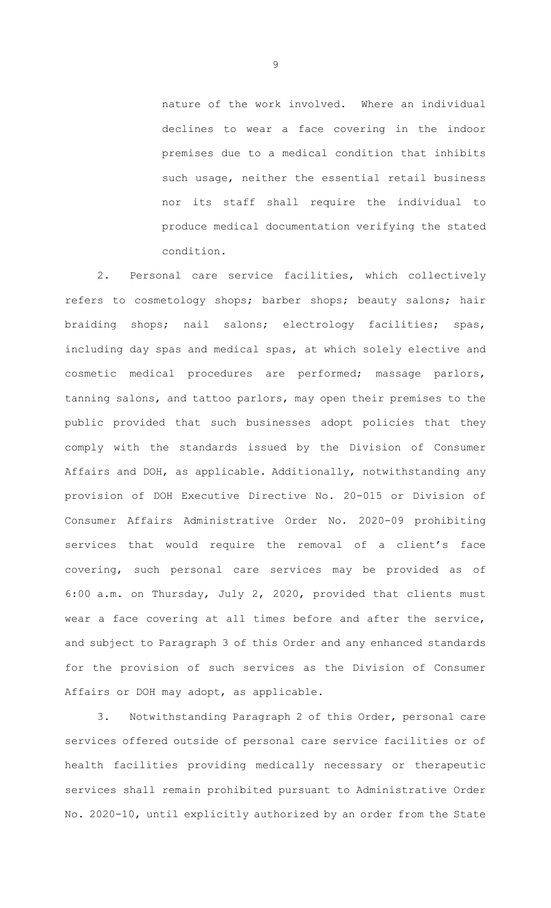nature of the work involved. Where an individual declines to wear a face covering in the indoor premises due to a medical condition that inhibits such usage, neither the essential retail business nor its staff shall require the individual to produce medical documentation verifying the stated condition.

2. Personal care service facilities, which collectively refers to cosmetology shops; barber shops; beauty salons; hair braiding shops; nail salons; electrology facilities; spas, including day spas and medical spas, at which solely elective and cosmetic medical procedures are performed; massage parlors, tanning salons, and tattoo parlors, may open their premises to the public provided that such businesses adopt policies that they comply with the standards issued by the Division of Consumer Affairs and DOH, as applicable. Additionally, notwithstanding any provision of DOH Executive Directive No. 20-015 or Division of Consumer Affairs Administrative Order No. 2020-09 prohibiting services that would require the removal of a client's face covering, such personal care services may be provided as of 6:00 a.m. on Thursday, July 2, 2020, provided that clients must wear a face covering at all times before and after the service, and subject to Paragraph 3 of this Order and any enhanced standards for the provision of such services as the Division of Consumer Affairs or DOH may adopt, as applicable.

3. Notwithstanding Paragraph 2 of this Order, personal care services offered outside of personal care service facilities or of health facilities providing medically necessary or therapeutic services shall remain prohibited pursuant to Administrative Order No. 2020-10, until explicitly authorized by an order from the State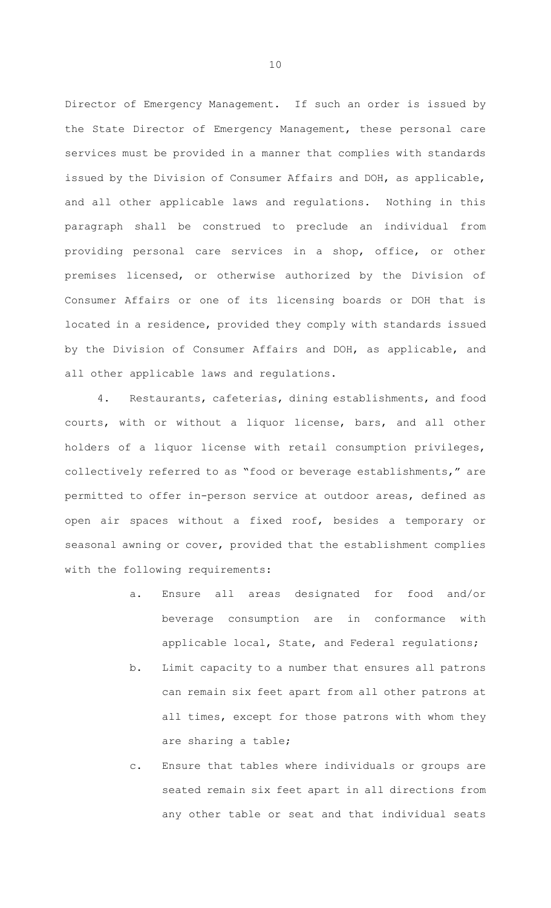Director of Emergency Management. If such an order is issued by the State Director of Emergency Management, these personal care services must be provided in a manner that complies with standards issued by the Division of Consumer Affairs and DOH, as applicable, and all other applicable laws and regulations. Nothing in this paragraph shall be construed to preclude an individual from providing personal care services in a shop, office, or other premises licensed, or otherwise authorized by the Division of Consumer Affairs or one of its licensing boards or DOH that is located in a residence, provided they comply with standards issued by the Division of Consumer Affairs and DOH, as applicable, and all other applicable laws and regulations.

4. Restaurants, cafeterias, dining establishments, and food courts, with or without a liquor license, bars, and all other holders of a liquor license with retail consumption privileges, collectively referred to as "food or beverage establishments," are permitted to offer in-person service at outdoor areas, defined as open air spaces without a fixed roof, besides a temporary or seasonal awning or cover, provided that the establishment complies with the following requirements:

- a. Ensure all areas designated for food and/or beverage consumption are in conformance with applicable local, State, and Federal regulations;
- b. Limit capacity to a number that ensures all patrons can remain six feet apart from all other patrons at all times, except for those patrons with whom they are sharing a table;
- c. Ensure that tables where individuals or groups are seated remain six feet apart in all directions from any other table or seat and that individual seats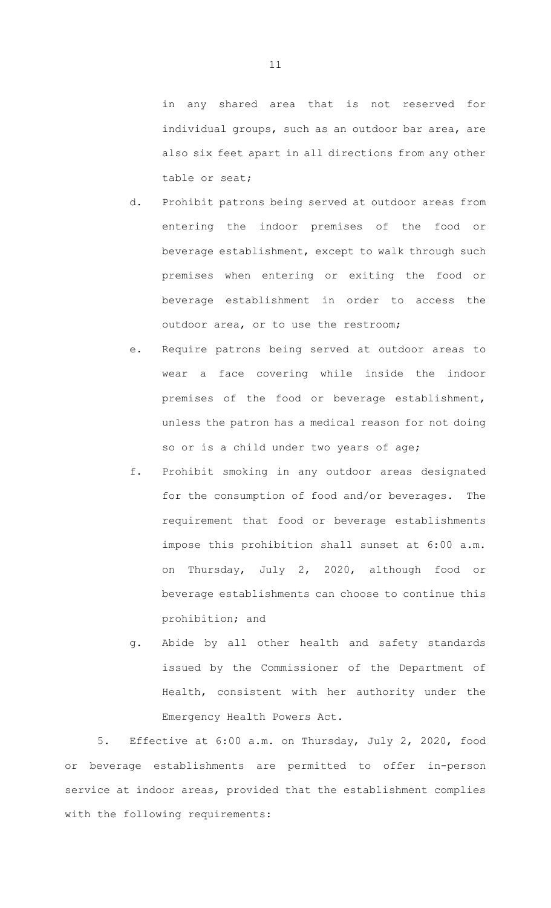in any shared area that is not reserved for individual groups, such as an outdoor bar area, are also six feet apart in all directions from any other table or seat;

- d. Prohibit patrons being served at outdoor areas from entering the indoor premises of the food or beverage establishment, except to walk through such premises when entering or exiting the food or beverage establishment in order to access the outdoor area, or to use the restroom;
- e. Require patrons being served at outdoor areas to wear a face covering while inside the indoor premises of the food or beverage establishment, unless the patron has a medical reason for not doing so or is a child under two years of age;
- f. Prohibit smoking in any outdoor areas designated for the consumption of food and/or beverages. The requirement that food or beverage establishments impose this prohibition shall sunset at 6:00 a.m. on Thursday, July 2, 2020, although food or beverage establishments can choose to continue this prohibition; and
- g. Abide by all other health and safety standards issued by the Commissioner of the Department of Health, consistent with her authority under the Emergency Health Powers Act.

5. Effective at 6:00 a.m. on Thursday, July 2, 2020, food or beverage establishments are permitted to offer in-person service at indoor areas, provided that the establishment complies with the following requirements: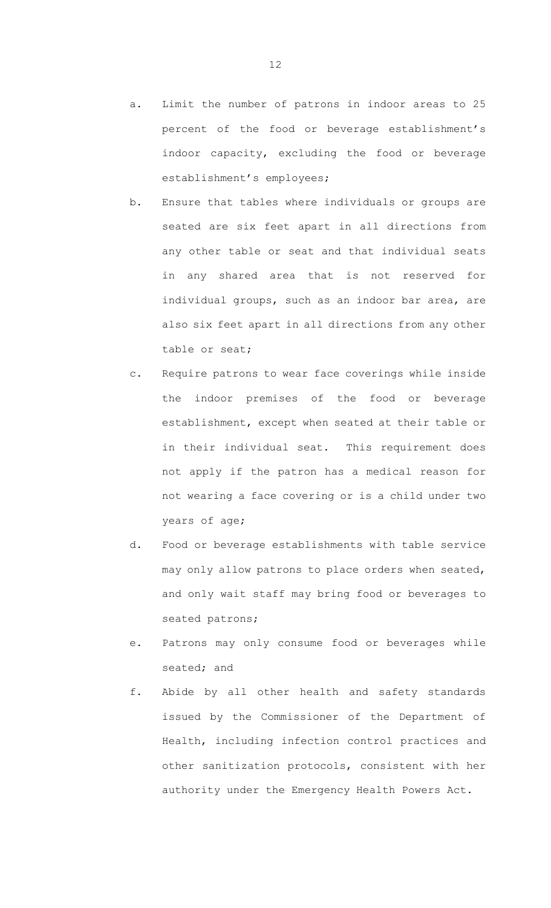- a. Limit the number of patrons in indoor areas to 25 percent of the food or beverage establishment's indoor capacity, excluding the food or beverage establishment's employees;
- b. Ensure that tables where individuals or groups are seated are six feet apart in all directions from any other table or seat and that individual seats in any shared area that is not reserved for individual groups, such as an indoor bar area, are also six feet apart in all directions from any other table or seat;
- c. Require patrons to wear face coverings while inside the indoor premises of the food or beverage establishment, except when seated at their table or in their individual seat. This requirement does not apply if the patron has a medical reason for not wearing a face covering or is a child under two years of age;
- d. Food or beverage establishments with table service may only allow patrons to place orders when seated, and only wait staff may bring food or beverages to seated patrons;
- e. Patrons may only consume food or beverages while seated; and
- f. Abide by all other health and safety standards issued by the Commissioner of the Department of Health, including infection control practices and other sanitization protocols, consistent with her authority under the Emergency Health Powers Act.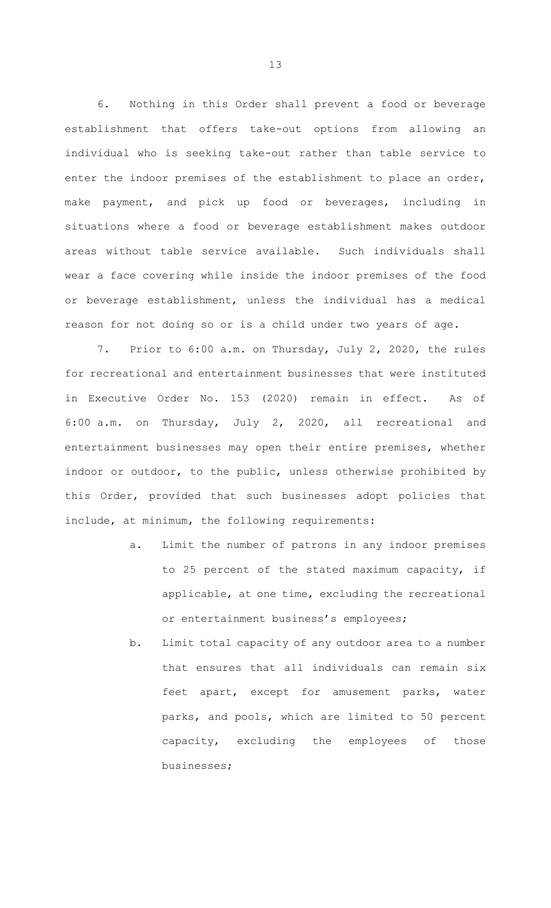6. Nothing in this Order shall prevent a food or beverage establishment that offers take-out options from allowing an individual who is seeking take-out rather than table service to enter the indoor premises of the establishment to place an order, make payment, and pick up food or beverages, including in situations where a food or beverage establishment makes outdoor areas without table service available. Such individuals shall wear a face covering while inside the indoor premises of the food or beverage establishment, unless the individual has a medical reason for not doing so or is a child under two years of age.

7. Prior to 6:00 a.m. on Thursday, July 2, 2020, the rules for recreational and entertainment businesses that were instituted in Executive Order No. 153 (2020) remain in effect. As of 6:00 a.m. on Thursday, July 2, 2020, all recreational and entertainment businesses may open their entire premises, whether indoor or outdoor, to the public, unless otherwise prohibited by this Order, provided that such businesses adopt policies that include, at minimum, the following requirements:

- a. Limit the number of patrons in any indoor premises to 25 percent of the stated maximum capacity, if applicable, at one time, excluding the recreational or entertainment business's employees;
- b. Limit total capacity of any outdoor area to a number that ensures that all individuals can remain six feet apart, except for amusement parks, water parks, and pools, which are limited to 50 percent capacity, excluding the employees of those businesses;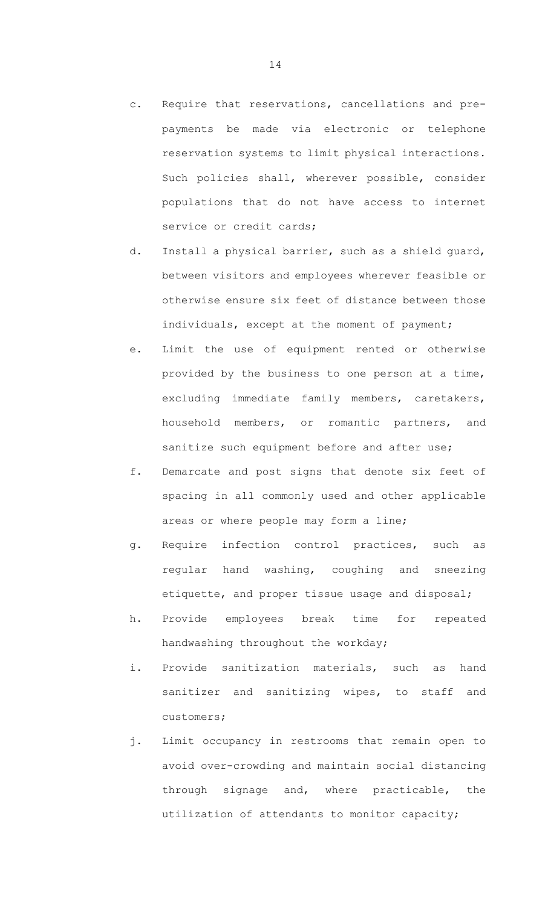- c. Require that reservations, cancellations and prepayments be made via electronic or telephone reservation systems to limit physical interactions. Such policies shall, wherever possible, consider populations that do not have access to internet service or credit cards;
- d. Install a physical barrier, such as a shield guard, between visitors and employees wherever feasible or otherwise ensure six feet of distance between those individuals, except at the moment of payment;
- e. Limit the use of equipment rented or otherwise provided by the business to one person at a time, excluding immediate family members, caretakers, household members, or romantic partners, and sanitize such equipment before and after use;
- f. Demarcate and post signs that denote six feet of spacing in all commonly used and other applicable areas or where people may form a line;
- g. Require infection control practices, such as regular hand washing, coughing and sneezing etiquette, and proper tissue usage and disposal;
- h. Provide employees break time for repeated handwashing throughout the workday;
- i. Provide sanitization materials, such as hand sanitizer and sanitizing wipes, to staff and customers;
- j. Limit occupancy in restrooms that remain open to avoid over-crowding and maintain social distancing through signage and, where practicable, the utilization of attendants to monitor capacity;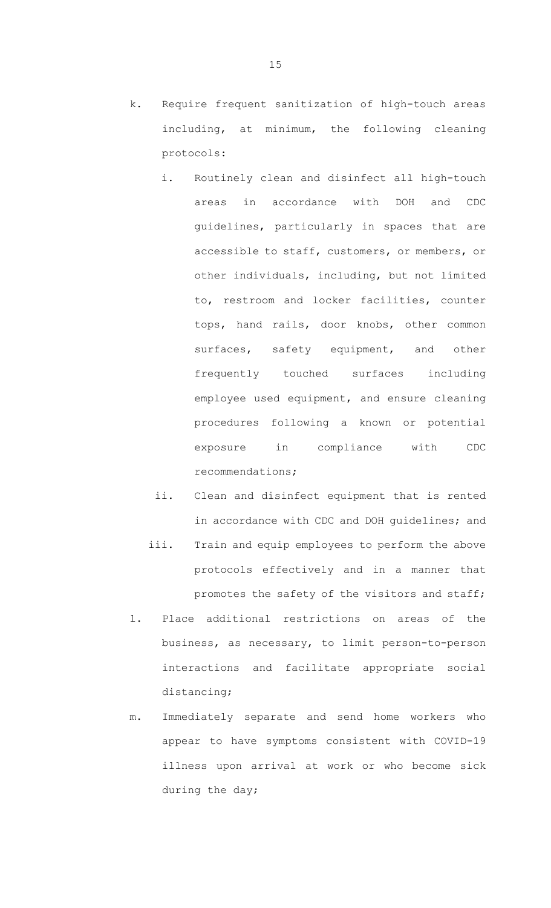- k. Require frequent sanitization of high-touch areas including, at minimum, the following cleaning protocols:
	- i. Routinely clean and disinfect all high-touch areas in accordance with DOH and CDC guidelines, particularly in spaces that are accessible to staff, customers, or members, or other individuals, including, but not limited to, restroom and locker facilities, counter tops, hand rails, door knobs, other common surfaces, safety equipment, and other frequently touched surfaces including employee used equipment, and ensure cleaning procedures following a known or potential exposure in compliance with CDC recommendations;
	- ii. Clean and disinfect equipment that is rented in accordance with CDC and DOH guidelines; and
	- iii. Train and equip employees to perform the above protocols effectively and in a manner that promotes the safety of the visitors and staff;
- l. Place additional restrictions on areas of the business, as necessary, to limit person-to-person interactions and facilitate appropriate social distancing;
- m. Immediately separate and send home workers who appear to have symptoms consistent with COVID-19 illness upon arrival at work or who become sick during the day;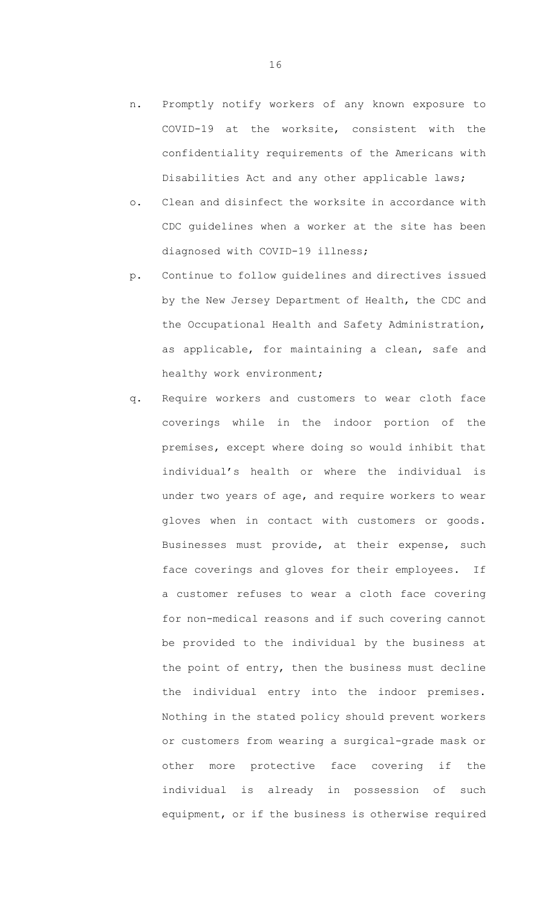- n. Promptly notify workers of any known exposure to COVID-19 at the worksite, consistent with the confidentiality requirements of the Americans with Disabilities Act and any other applicable laws;
- o. Clean and disinfect the worksite in accordance with CDC guidelines when a worker at the site has been diagnosed with COVID-19 illness;
- p. Continue to follow guidelines and directives issued by the New Jersey Department of Health, the CDC and the Occupational Health and Safety Administration, as applicable, for maintaining a clean, safe and healthy work environment;
- q. Require workers and customers to wear cloth face coverings while in the indoor portion of the premises, except where doing so would inhibit that individual's health or where the individual is under two years of age, and require workers to wear gloves when in contact with customers or goods. Businesses must provide, at their expense, such face coverings and gloves for their employees. If a customer refuses to wear a cloth face covering for non-medical reasons and if such covering cannot be provided to the individual by the business at the point of entry, then the business must decline the individual entry into the indoor premises. Nothing in the stated policy should prevent workers or customers from wearing a surgical-grade mask or other more protective face covering if the individual is already in possession of such equipment, or if the business is otherwise required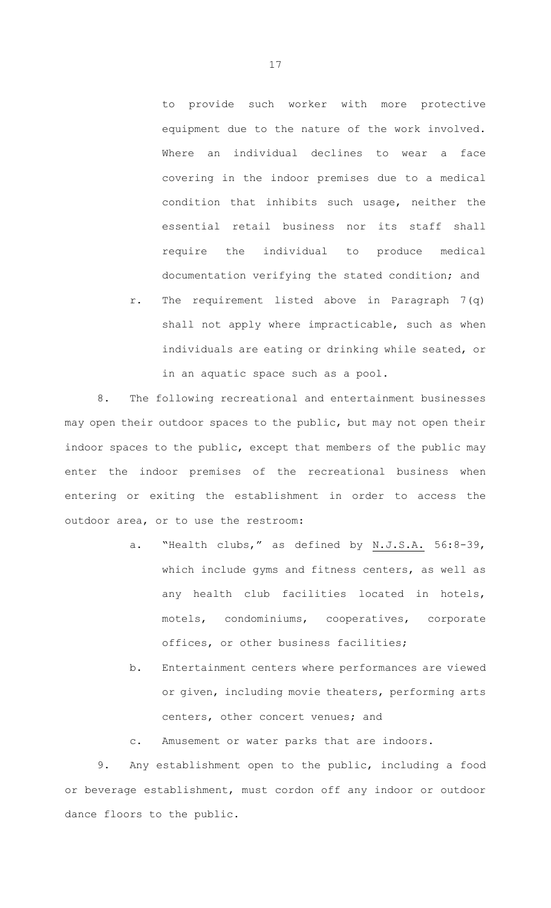to provide such worker with more protective equipment due to the nature of the work involved. Where an individual declines to wear a face covering in the indoor premises due to a medical condition that inhibits such usage, neither the essential retail business nor its staff shall require the individual to produce medical documentation verifying the stated condition; and

r. The requirement listed above in Paragraph 7(q) shall not apply where impracticable, such as when individuals are eating or drinking while seated, or in an aquatic space such as a pool.

8. The following recreational and entertainment businesses may open their outdoor spaces to the public, but may not open their indoor spaces to the public, except that members of the public may enter the indoor premises of the recreational business when entering or exiting the establishment in order to access the outdoor area, or to use the restroom:

- a. "Health clubs," as defined by N.J.S.A. 56:8-39, which include gyms and fitness centers, as well as any health club facilities located in hotels, motels, condominiums, cooperatives, corporate offices, or other business facilities;
- b. Entertainment centers where performances are viewed or given, including movie theaters, performing arts centers, other concert venues; and
- c. Amusement or water parks that are indoors.

9. Any establishment open to the public, including a food or beverage establishment, must cordon off any indoor or outdoor dance floors to the public.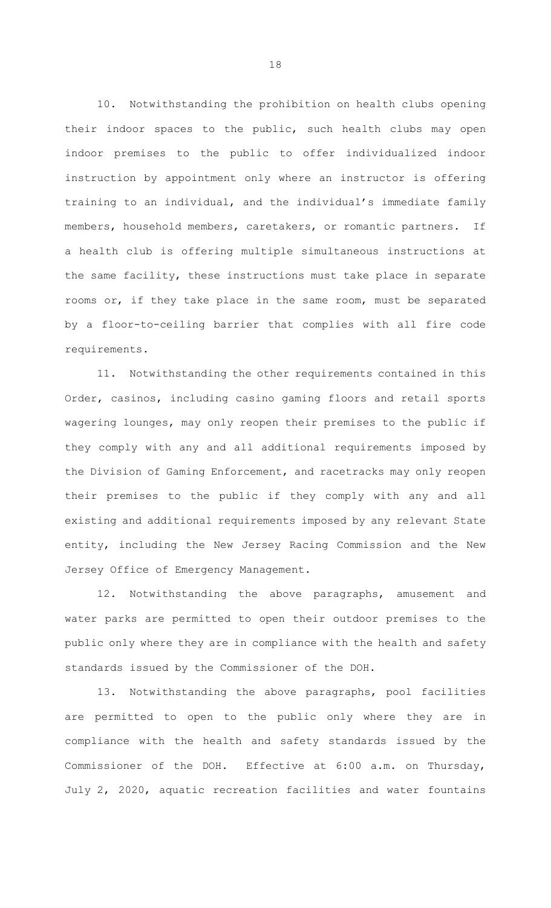10. Notwithstanding the prohibition on health clubs opening their indoor spaces to the public, such health clubs may open indoor premises to the public to offer individualized indoor instruction by appointment only where an instructor is offering training to an individual, and the individual's immediate family members, household members, caretakers, or romantic partners. If a health club is offering multiple simultaneous instructions at the same facility, these instructions must take place in separate rooms or, if they take place in the same room, must be separated by a floor-to-ceiling barrier that complies with all fire code requirements.

11. Notwithstanding the other requirements contained in this Order, casinos, including casino gaming floors and retail sports wagering lounges, may only reopen their premises to the public if they comply with any and all additional requirements imposed by the Division of Gaming Enforcement, and racetracks may only reopen their premises to the public if they comply with any and all existing and additional requirements imposed by any relevant State entity, including the New Jersey Racing Commission and the New Jersey Office of Emergency Management.

12. Notwithstanding the above paragraphs, amusement and water parks are permitted to open their outdoor premises to the public only where they are in compliance with the health and safety standards issued by the Commissioner of the DOH.

13. Notwithstanding the above paragraphs, pool facilities are permitted to open to the public only where they are in compliance with the health and safety standards issued by the Commissioner of the DOH. Effective at 6:00 a.m. on Thursday, July 2, 2020, aquatic recreation facilities and water fountains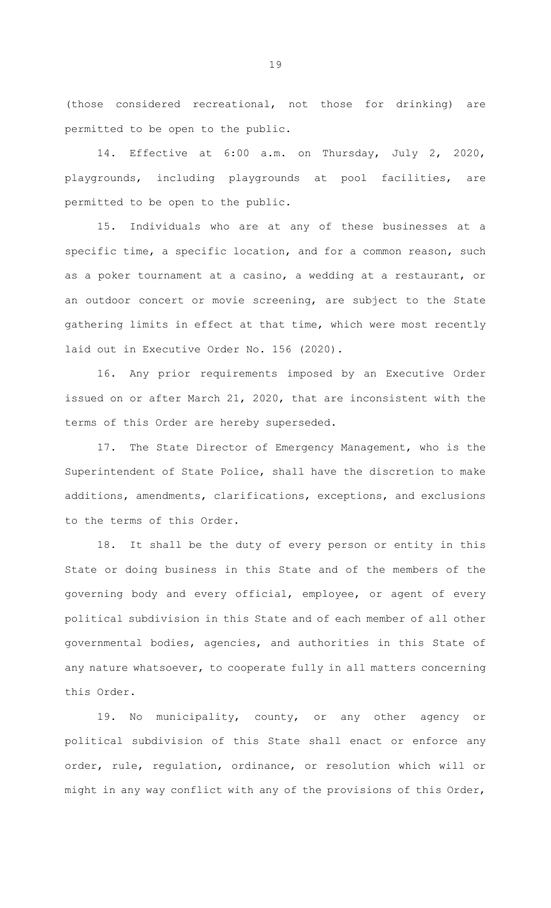(those considered recreational, not those for drinking) are permitted to be open to the public.

14. Effective at 6:00 a.m. on Thursday, July 2, 2020, playgrounds, including playgrounds at pool facilities, are permitted to be open to the public.

15. Individuals who are at any of these businesses at a specific time, a specific location, and for a common reason, such as a poker tournament at a casino, a wedding at a restaurant, or an outdoor concert or movie screening, are subject to the State gathering limits in effect at that time, which were most recently laid out in Executive Order No. 156 (2020).

16. Any prior requirements imposed by an Executive Order issued on or after March 21, 2020, that are inconsistent with the terms of this Order are hereby superseded.

17. The State Director of Emergency Management, who is the Superintendent of State Police, shall have the discretion to make additions, amendments, clarifications, exceptions, and exclusions to the terms of this Order.

18. It shall be the duty of every person or entity in this State or doing business in this State and of the members of the governing body and every official, employee, or agent of every political subdivision in this State and of each member of all other governmental bodies, agencies, and authorities in this State of any nature whatsoever, to cooperate fully in all matters concerning this Order.

19. No municipality, county, or any other agency or political subdivision of this State shall enact or enforce any order, rule, regulation, ordinance, or resolution which will or might in any way conflict with any of the provisions of this Order,